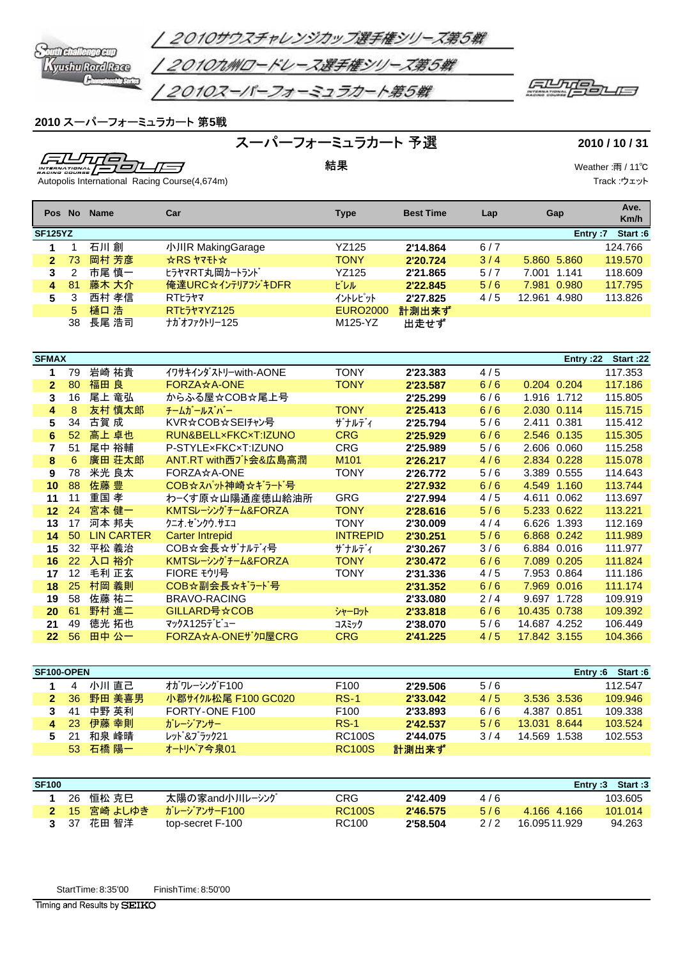

## スーパーフォーミュラカート 第**5**戦

スーパーフォーミュラカート 予選 **2010 / 10 / 31**

 $\equiv$ 74 *Fule* <u> 797 </u> 工一  $\frac{1}{4}$ 

精果 Weather :雨 / 11℃ Track :ウェット

Autopolis International Racing Course(4,674m)

| <b>Pos</b>            | <b>No</b> | <b>Name</b> | Car                                       | <b>Type</b>                  | <b>Best Time</b> | Lap | Gap             | Ave.<br>Km/h |
|-----------------------|-----------|-------------|-------------------------------------------|------------------------------|------------------|-----|-----------------|--------------|
| <b>SF125YZ</b>        |           |             |                                           |                              |                  |     | Entry:7         | Start:6      |
| 1                     |           | 石川創         | 小川R MakingGarage                          | <b>YZ125</b>                 | 2'14.864         | 6/7 |                 | 124.766      |
| $\mathbf{2}^{\prime}$ | 73        | 岡村 芳彦       | $\star$ RS $\star$ <sub>7</sub> + $\star$ | <b>TONY</b>                  | 2'20.724         | 3/4 | 5.860 5.860     | 119,570      |
| 3                     | 2         | 市尾 慎一       | ヒラヤマRT丸岡カートランド                            | <b>YZ125</b>                 | 2'21.865         | 5/7 | 7.001 1.141     | 118,609      |
| 4                     | 81        | 藤木 大介       | 俺達URC☆インテリアフジキDFR                         | ビレル                          | 2'22.845         | 5/6 | 7.981<br>0.980  | 117.795      |
| 5                     | 3         | 西村 孝信       | <b>RTL577</b>                             | イントレピット                      | 2'27.825         | 4/5 | 12.961<br>4.980 | 113.826      |
|                       | 5         | 樋口 浩        | RTŁ5ł7YZ125                               | <b>EURO2000</b>              | 計測出来ず            |     |                 |              |
|                       | 38        | 長尾 浩司       | ナガオファクトリー125                              | M125-YZ                      | 出走せず             |     |                 |              |
|                       |           |             |                                           |                              |                  |     |                 |              |
|                       |           |             |                                           |                              |                  |     |                 |              |
| <b>SFMAX</b>          |           |             |                                           |                              |                  |     | Entry:22        | Start:22     |
| 1                     | 79        | 岩崎 祐貴       | イワサキインダストリーwith-AONE                      | <b>TONY</b>                  | 2'23.383         | 4/5 |                 | 117.353      |
| $\overline{2}$        | 80        | 福田 良        | <b>FORZA☆A-ONE</b>                        | <b>TONY</b>                  | 2'23.587         | 6/6 | 0.204 0.204     | 117.186      |
| 3                     | 16        | 尾上 竜弘       | からふる屋☆COB☆尾上号                             |                              | 2'25.299         | 6/6 | 1.916 1.712     | 115,805      |
| 4                     | 8         | 友村 慎太郎      | チームガールズ・バー                                | <b>TONY</b>                  | 2'25.413         | 6/6 | 2.030 0.114     | 115.715      |
| E                     | 21        | 士智 成        | KIDみCODみCLIエッル                            | $+$ $+$ $+$ $ \cdot$ $\cdot$ | 2!25.704         | F/R | 2.411 0.221     | 115.112      |

| 4                                                     | $\circ$ | 久11 呉人印           | ナームカ ールス ハ ー           |                  | 223.413     | 0/0     | 2.030 U.I 14 | 110.713 |
|-------------------------------------------------------|---------|-------------------|------------------------|------------------|-------------|---------|--------------|---------|
| 5                                                     | 34      | 古賀 成              | KVR☆COB☆SEIチャン号        | ザナルディ            | 2'25.794    | 5/6     | 2.411 0.381  | 115.412 |
| 高上 卓也<br>RUN&BELLxFKCxT:IZUNO<br>52 <sub>2</sub><br>6 |         | <b>CRG</b>        | 2'25.929               | 6/6              | 2.546 0.135 | 115,305 |              |         |
|                                                       | 51      | 尾中 裕輔             | P-STYLExFKCxT:IZUNO    | <b>CRG</b>       | 2'25.989    | 5/6     | 2.606 0.060  | 115.258 |
| 8                                                     | 6       | 廣田 荘太郎            | ANT.RT with西ブト会&広島高潤   | M <sub>101</sub> | 2'26.217    | 4/6     | 2.834 0.228  | 115,078 |
| 9                                                     | 78      | 米光 良太             | FORZA☆A-ONE            | <b>TONY</b>      | 2'26.772    | 5/6     | 3.389 0.555  | 114.643 |
| 10                                                    | 88      | 佐藤 豊              | COB☆スパット神崎☆ギラード号       |                  | 2'27.932    | 6/6     | 4.549 1.160  | 113.744 |
| 11                                                    | 11      | 重国 孝              | わ−くす原☆山陽通産徳山給油所        | <b>GRG</b>       | 2'27.994    | 4/5     | 4.611 0.062  | 113.697 |
| 12 <sub>2</sub>                                       | 24      | 宮本 健一             | KMTSレーシングチーム&FORZA     | <b>TONY</b>      | 2'28.616    | 5/6     | 5.233 0.622  | 113.221 |
| 河本 邦夫<br>クニオ.ゼンクウ.サエコ<br>17<br>13                     |         | <b>TONY</b>       | 2'30.009               | 4/4              | 6.626 1.393 | 112.169 |              |         |
| 14                                                    | 50      | <b>LIN CARTER</b> | <b>Carter Intrepid</b> | <b>INTREPID</b>  | 2'30.251    | 5/6     | 6.868 0.242  | 111.989 |
| 15                                                    | 32      | 平松 義治             | COB☆会長☆ザナルディ号          | ザナルディ            | 2'30.267    | 3/6     | 6.884 0.016  | 111.977 |
| 16                                                    | 22      | 入口 裕介             | KMTSレーシングチーム&FORZA     | <b>TONY</b>      | 2'30.472    | 6/6     | 7.089 0.205  | 111.824 |
| 17                                                    | 12      | 毛利 正玄             | FIORE モウリ号             | TONY             | 2'31.336    | 4/5     | 7.953 0.864  | 111.186 |
| 18                                                    | 25      | 村岡 義則             | COB☆副会長☆ギラード号          |                  | 2'31.352    | 6/6     | 7.969 0.016  | 111.174 |
| 19                                                    | 58      | 佐藤 祐二             | <b>BRAVO-RACING</b>    |                  | 2'33.080    | 2/4     | 9.697 1.728  | 109.919 |
| 20                                                    | 61      | 野村 進二             | GILLARD号☆COB           | シャーロット           | 2'33.818    | 6/6     | 10.435 0.738 | 109.392 |
| 21                                                    | 49      | 徳光 拓也             | マックス125デビュー            | コスミック            | 2'38.070    | 5/6     | 14.687 4.252 | 106.449 |
| 22                                                    | 56      | 田中 公一             | FORZA☆A-ONEザクロ屋CRG     | <b>CRG</b>       | 2'41.225    | 4/5     | 17.842 3.155 | 104.366 |
|                                                       |         |                   |                        |                  |             |         |              |         |

|    | SF100-OPEN      |        |                     |                  |          |     | Entry:6      | Start:6 |
|----|-----------------|--------|---------------------|------------------|----------|-----|--------------|---------|
|    | 4               | 小川 直己  | オガワレーシング F100       | F <sub>100</sub> | 2'29.506 | 5/6 |              | 112.547 |
| 2  | 36 <sup>°</sup> | 野田 美喜男 | 小郡サイクル松尾 F100 GC020 | $RS-1$           | 2'33.042 | 4/5 | 3.536 3.536  | 109.946 |
| 3  | 41              | 中野 英利  | FORTY-ONE F100      | F <sub>100</sub> | 2'33.893 | 6/6 | 4.387 0.851  | 109.338 |
|    | 4 23            | 伊藤 幸則  | ガレージアンサー            | $RS-1$           | 2'42.537 | 5/6 | 13.031 8.644 | 103.524 |
| 5. | -21             | 和泉 峰晴  | レット &ブラック21         | <b>RC100S</b>    | 2'44.075 | 3/4 | 14.569 1.538 | 102.553 |
|    | 53              | 石橋 陽一  | オートリヘア今泉01          | <b>RC100S</b>    | 計測出来ず    |     |              |         |

| <b>SF100</b> |      |              |                        |               |          |     |               | Start:3<br>Entry $:3$ |
|--------------|------|--------------|------------------------|---------------|----------|-----|---------------|-----------------------|
|              | 26.  | 恒松 克巳        | 太陽の家and小川レーシング         | CRG           | 2'42.409 | 4/6 |               | 103.605               |
|              |      | 2 15 宮崎 よしゆき | <b>♪ĭレージアンサーF100</b> 7 | <b>RC100S</b> | 2'46.575 | 5/6 | 4.166 4.166   | 101.014               |
|              | - 37 | 花田 智洋        | top-secret F-100       | RC100         | 2'58.504 | 2/2 | 16 095 11 929 | 94.263                |

StartTime:8:35'00 FinishTime:8:50'00

Timing and Results by SEIKO